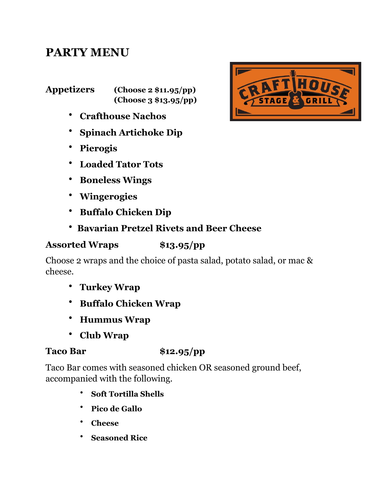# **PARTY MENU**

**Appetizers (Choose 2 \$11.95/pp) (Choose 3 \$13.95/pp)** 

- **Crafthouse Nachos**
- **Spinach Artichoke Dip**
- **Pierogis**
- **Loaded Tator Tots**
- **Boneless Wings**
- **Wingerogies**
- **Buffalo Chicken Dip**
- **Bavarian Pretzel Rivets and Beer Cheese**

### **Assorted Wraps \$13.95/pp**

Choose 2 wraps and the choice of pasta salad, potato salad, or mac & cheese.

- **Turkey Wrap**
- **Buffalo Chicken Wrap**
- **Hummus Wrap**
- **Club Wrap**

### **Taco Bar \$12.95/pp**

Taco Bar comes with seasoned chicken OR seasoned ground beef, accompanied with the following.

- **Soft Tortilla Shells**
- **Pico de Gallo**
- **Cheese**
- **Seasoned Rice**